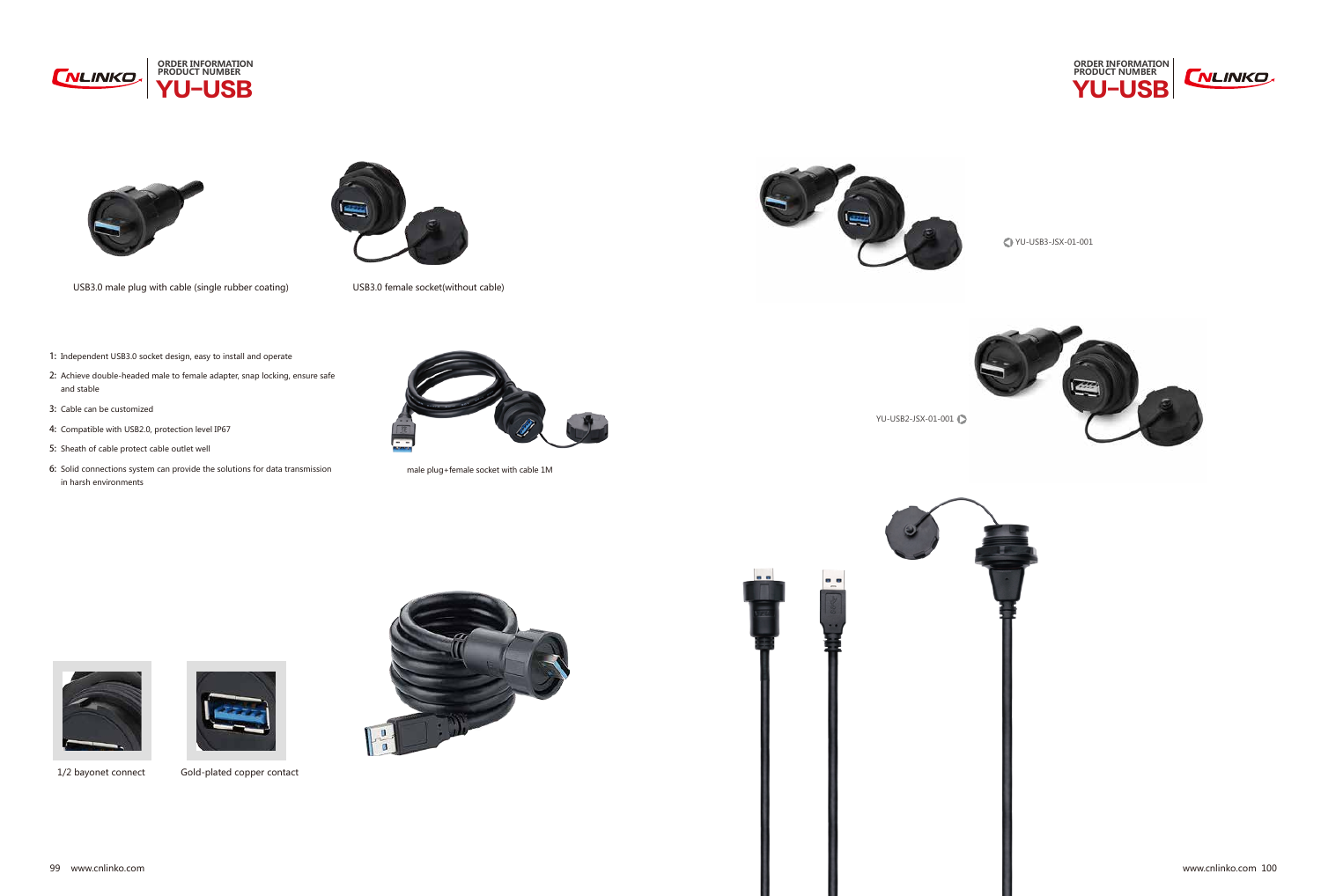



YU-USB3-JSX-01-001



1/2 bayonet connect Gold-plated copper contact





male plug+female socket with cable 1M



YU-USB2-JSX-01-001





1: Independent USB3.0 socket design, easy to install and operate





- 2: Achieve double-headed male to female adapter, snap locking, ensure safe and stable
- 3: Cable can be customized
- 4: Compatible with USB2.0, protection level IP67
- 5: Sheath of cable protect cable outlet well
- 6: Solid connections system can provide the solutions for data transmission in harsh environments







USB3.0 male plug with cable (single rubber coating) USB3.0 female socket(without cable)